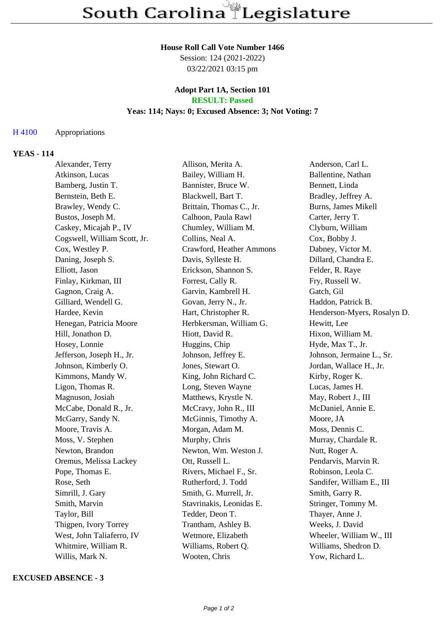#### **House Roll Call Vote Number 1466**

Session: 124 (2021-2022) 03/22/2021 03:15 pm

### **Adopt Part 1A, Section 101 RESULT: Passed**

# **Yeas: 114; Nays: 0; Excused Absence: 3; Not Voting: 7**

### H 4100 Appropriations

## **YEAS - 114**

| Alexander, Terry             | Allison, Merita A.       | Anderson, Carl L.           |
|------------------------------|--------------------------|-----------------------------|
| Atkinson, Lucas              | Bailey, William H.       | Ballentine, Nathan          |
| Bamberg, Justin T.           | Bannister, Bruce W.      | Bennett, Linda              |
| Bernstein, Beth E.           | Blackwell, Bart T.       | Bradley, Jeffrey A.         |
| Brawley, Wendy C.            | Brittain, Thomas C., Jr. | Burns, James Mikell         |
| Bustos, Joseph M.            | Calhoon, Paula Rawl      | Carter, Jerry T.            |
| Caskey, Micajah P., IV       | Chumley, William M.      | Clyburn, William            |
| Cogswell, William Scott, Jr. | Collins, Neal A.         | Cox, Bobby J.               |
| Cox, Westley P.              | Crawford, Heather Ammons | Dabney, Victor M.           |
| Daning, Joseph S.            | Davis, Sylleste H.       | Dillard, Chandra E.         |
| Elliott, Jason               | Erickson, Shannon S.     | Felder, R. Raye             |
| Finlay, Kirkman, III         | Forrest, Cally R.        | Fry, Russell W.             |
| Gagnon, Craig A.             | Garvin, Kambrell H.      | Gatch, Gil                  |
| Gilliard, Wendell G.         | Govan, Jerry N., Jr.     | Haddon, Patrick B.          |
| Hardee, Kevin                | Hart, Christopher R.     | Henderson-Myers, Rosalyn D. |
| Henegan, Patricia Moore      | Herbkersman, William G.  | Hewitt, Lee                 |
| Hill, Jonathon D.            | Hiott, David R.          | Hixon, William M.           |
| Hosey, Lonnie                | Huggins, Chip            | Hyde, Max T., Jr.           |
| Jefferson, Joseph H., Jr.    | Johnson, Jeffrey E.      | Johnson, Jermaine L., Sr.   |
| Johnson, Kimberly O.         | Jones, Stewart O.        | Jordan, Wallace H., Jr.     |
| Kimmons, Mandy W.            | King, John Richard C.    | Kirby, Roger K.             |
| Ligon, Thomas R.             | Long, Steven Wayne       | Lucas, James H.             |
| Magnuson, Josiah             | Matthews, Krystle N.     | May, Robert J., III         |
| McCabe, Donald R., Jr.       | McCravy, John R., III    | McDaniel, Annie E.          |
| McGarry, Sandy N.            | McGinnis, Timothy A.     | Moore, JA                   |
| Moore, Travis A.             | Morgan, Adam M.          | Moss, Dennis C.             |
| Moss, V. Stephen             | Murphy, Chris            | Murray, Chardale R.         |
| Newton, Brandon              | Newton, Wm. Weston J.    | Nutt, Roger A.              |
| Oremus, Melissa Lackey       | Ott, Russell L.          | Pendarvis, Marvin R.        |
| Pope, Thomas E.              | Rivers, Michael F., Sr.  | Robinson, Leola C.          |
| Rose, Seth                   | Rutherford, J. Todd      | Sandifer, William E., III   |
| Simrill, J. Gary             | Smith, G. Murrell, Jr.   | Smith, Garry R.             |
| Smith, Marvin                | Stavrinakis, Leonidas E. | Stringer, Tommy M.          |
| Taylor, Bill                 | Tedder, Deon T.          | Thayer, Anne J.             |
| Thigpen, Ivory Torrey        | Trantham, Ashley B.      | Weeks, J. David             |
| West, John Taliaferro, IV    | Wetmore, Elizabeth       | Wheeler, William W., III    |
| Whitmire, William R.         | Williams, Robert Q.      | Williams, Shedron D.        |
| Willis, Mark N.              | Wooten, Chris            | Yow, Richard L.             |

#### **EXCUSED ABSENCE - 3**